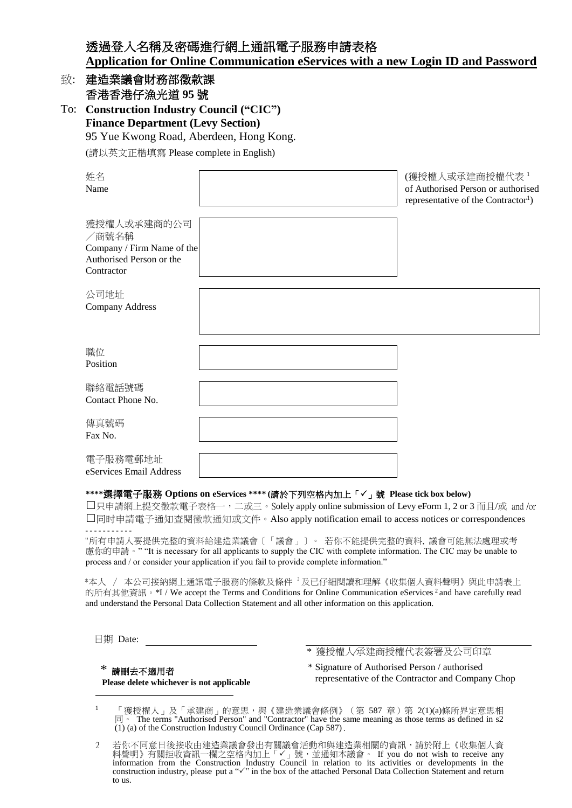# 透過登入名稱及密碼進行網上通訊電子服務申請表格 **Application for Online Communication eServices with a new Login ID and Password**

| 致:  | 建造業議會財務部徵款課<br>香港香港仔漁光道 95號                            |                                                                                       |
|-----|--------------------------------------------------------|---------------------------------------------------------------------------------------|
| To: | <b>Construction Industry Council ("CIC")</b>           |                                                                                       |
|     | <b>Finance Department (Levy Section)</b>               |                                                                                       |
|     | 95 Yue Kwong Road, Aberdeen, Hong Kong.                |                                                                                       |
|     | (請以英文正楷填寫 Please complete in English)                  |                                                                                       |
|     | 姓名                                                     | (獲授權人或承建商授權代表 <sup>1</sup>                                                            |
|     | Name                                                   | of Authorised Person or authorised<br>representative of the Contractor <sup>1</sup> ) |
|     | 獲授權人或承建商的公司                                            |                                                                                       |
|     | /商號名稱                                                  |                                                                                       |
|     | Company / Firm Name of the<br>Authorised Person or the |                                                                                       |
|     | Contractor                                             |                                                                                       |
|     | 公司地址                                                   |                                                                                       |
|     | <b>Company Address</b>                                 |                                                                                       |
|     |                                                        |                                                                                       |
|     | 職位                                                     |                                                                                       |
|     | Position                                               |                                                                                       |
|     | 聯絡電話號碼                                                 |                                                                                       |
|     | Contact Phone No.                                      |                                                                                       |
|     | 傳真號碼                                                   |                                                                                       |
|     | Fax No.                                                |                                                                                       |
|     | 電子服務電郵地址                                               |                                                                                       |
|     | eServices Email Address                                |                                                                                       |

#### **\*\*\*\***選擇電子服務 **Options on eServices \*\*\*\* (**請於下列空格內加上「」號 **Please tick box below)**

□只申請網上提交徵款電子表格一,二或三。Solely apply online submission of Levy eForm 1, 2 or <sup>3</sup> 而且/<sup>或</sup> and /or □同时申請電子通知查閱徵款通知或文件。Also apply notification email to access notices or correspondences -----------

"所有申請人要提供完整的資料給建造業議會〔「議會」〕。 若你不能提供完整的資料, 議會可能無法處理或考 慮你的申請。" "It is necessary for all applicants to supply the CIC with complete information. The CIC may be unable to process and / or consider your application if you fail to provide complete information."

\*本人 ∕ 本公司接納網上通訊電子服務的條款及條件 <sup>2</sup> 及已仔細閱讀和理解《收集個人資料聲明》與此申請表上 的所有其他資訊。\*I / We accept the Terms and Conditions for Online Communication eServices<sup>2</sup> and have carefully read and understand the Personal Data Collection Statement and all other information on this application.

日期 Date:

 $\overline{a}$ 

 $*$  請刪去不適用者

**Please delete whichever is not applicable**

|  |  |  | * 獲授權人/承建商授權代表簽署及公司印章 |  |  |  |
|--|--|--|-----------------------|--|--|--|
|--|--|--|-----------------------|--|--|--|

\* Signature of Authorised Person / authorised representative of the Contractor and Company Chop

 $^1$  「獲授權人」及「承建商」的意思,與《建造業議會條例》(第 587 章)第 2(1)(a)條所界定意思相 同。 The terms "Authorised Person" and "Contractor" have the same meaning as those terms as defined in s2 (1) (a) of the Construction Industry Council Ordinance (Cap 587).

<sup>2</sup> 若你不同意日後接收由建造業議會發出有關議會活動和與建造業相關的資訊,請於附上《收集個人資 料聲明》有關拒收資訊一欄之空格內加上「✓」號,並通知本議會。 If you do not wish to receive any information from the Construction Industry Council in relation to its activities or developments in the construction industry, please put a " $\checkmark$ " in the box of the attached Personal Data Collection Statement and return to us.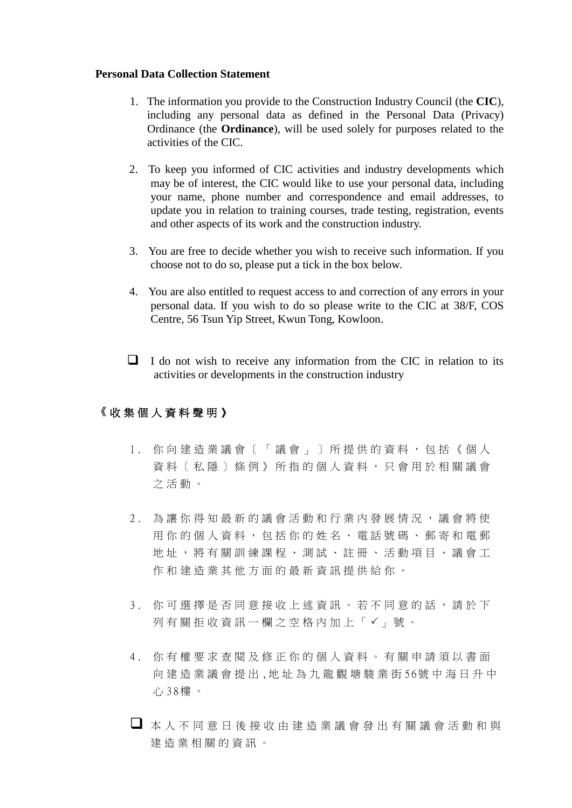#### **Personal Data Collection Statement**

- 1. The information you provide to the Construction Industry Council (the **CIC**), including any personal data as defined in the Personal Data (Privacy) Ordinance (the **Ordinance**), will be used solely for purposes related to the activities of the CIC.
- 2. To keep you informed of CIC activities and industry developments which may be of interest, the CIC would like to use your personal data, including your name, phone number and correspondence and email addresses, to update you in relation to training courses, trade testing, registration, events and other aspects of its work and the construction industry.
- 3. You are free to decide whether you wish to receive such information. If you choose not to do so, please put a tick in the box below.
- 4. You are also entitled to request access to and correction of any errors in your personal data. If you wish to do so please write to the CIC at 38/F, COS Centre, 56 Tsun Yip Street, Kwun Tong, Kowloon.
- $\Box$  I do not wish to receive any information from the CIC in relation to its activities or developments in the construction industry

### **《** 收集個人資料聲明》

- 1. 你向建造業議會〔「議會」〕所提供的資料, 包括《個人 資料〔私隱〕條例》所指的個人資料,只 會 用 於 相 關 議 會 之 活動。
- 2 . 為讓你得知最新的 議會活動 和 行 業 內發展情況, 議 會 將 使 用你的個人資料,包括你的姓名、電話號碼、郵寄和電郵 地 址 , 將 有關訓練 課 程 、測試、註冊、活動 項目、 議 會 工 作和建造業其他方面的最新資訊提供給你。
- 3. 你可選擇是否同意接收上述資訊。若不同意的話,請於下 列有關拒收資訊一欄之空格內加上「√」號。
- 4 . 你 有權要求查閱及 修正你的 個人資料 。 有關申請須以書面 向建造業議會提出,地址為九龍觀塘駿業街 56號中海日升中 心 3 8樓 。
- 本人不同意日後接收由建造業議會發出有關議會活動和與 建造業相關的資訊。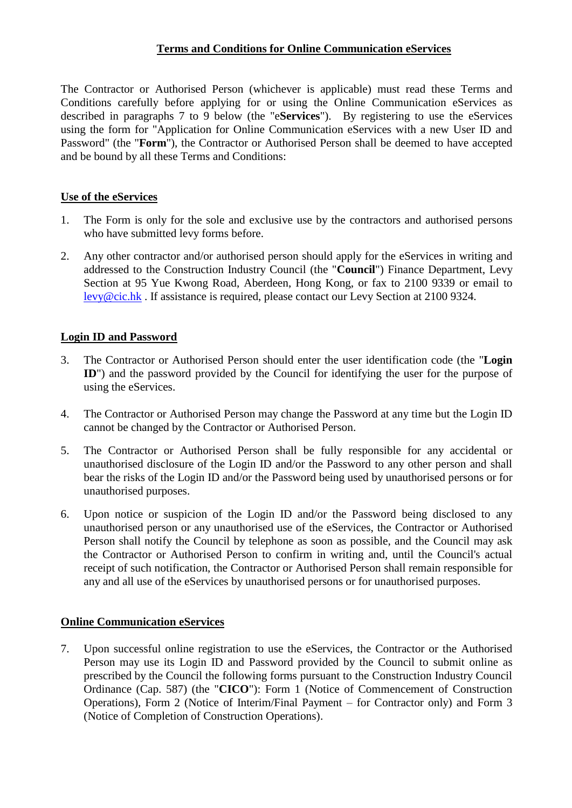# **Terms and Conditions for Online Communication eServices**

The Contractor or Authorised Person (whichever is applicable) must read these Terms and Conditions carefully before applying for or using the Online Communication eServices as described in paragraphs 7 to 9 below (the "e**Services**"). By registering to use the eServices using the form for "Application for Online Communication eServices with a new User ID and Password" (the "**Form**"), the Contractor or Authorised Person shall be deemed to have accepted and be bound by all these Terms and Conditions:

### **Use of the eServices**

- 1. The Form is only for the sole and exclusive use by the contractors and authorised persons who have submitted levy forms before.
- 2. Any other contractor and/or authorised person should apply for the eServices in writing and addressed to the Construction Industry Council (the "**Council**") Finance Department, Levy Section at 95 Yue Kwong Road, Aberdeen, Hong Kong, or fax to 2100 9339 or email to [levy@cic.hk](mailto:levy@cic.hk) . If assistance is required, please contact our Levy Section at 2100 9324.

# **Login ID and Password**

- 3. The Contractor or Authorised Person should enter the user identification code (the "**Login ID**") and the password provided by the Council for identifying the user for the purpose of using the eServices.
- 4. The Contractor or Authorised Person may change the Password at any time but the Login ID cannot be changed by the Contractor or Authorised Person.
- 5. The Contractor or Authorised Person shall be fully responsible for any accidental or unauthorised disclosure of the Login ID and/or the Password to any other person and shall bear the risks of the Login ID and/or the Password being used by unauthorised persons or for unauthorised purposes.
- 6. Upon notice or suspicion of the Login ID and/or the Password being disclosed to any unauthorised person or any unauthorised use of the eServices, the Contractor or Authorised Person shall notify the Council by telephone as soon as possible, and the Council may ask the Contractor or Authorised Person to confirm in writing and, until the Council's actual receipt of such notification, the Contractor or Authorised Person shall remain responsible for any and all use of the eServices by unauthorised persons or for unauthorised purposes.

# **Online Communication eServices**

7. Upon successful online registration to use the eServices, the Contractor or the Authorised Person may use its Login ID and Password provided by the Council to submit online as prescribed by the Council the following forms pursuant to the Construction Industry Council Ordinance (Cap. 587) (the "**CICO**"): Form 1 (Notice of Commencement of Construction Operations), Form 2 (Notice of Interim/Final Payment – for Contractor only) and Form 3 (Notice of Completion of Construction Operations).